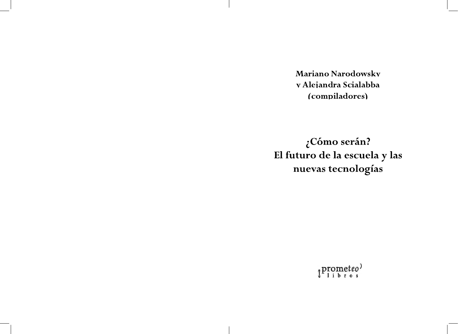Mariano Narodowsky y Alejandra Scialabba (compiladores)

¿Cómo serán? El futuro de la escuela y las nuevas tecnologías

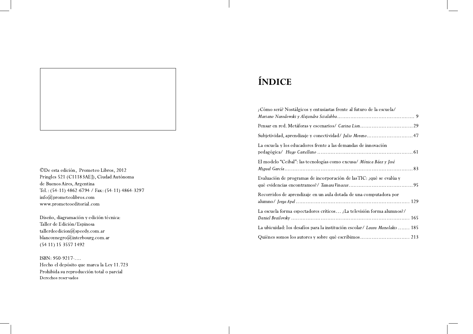©De esta edición, Prometeo Libros, 2012 Pringles 521 (C11183AEJ), Ciudad Autónoma de Buenos Aires, Argentina Tel.: (54-11) 4862-6794 / Fax: (54-11) 4864-3297 info@prometeolibros.com www.prometeoeditorial.com

Diseño, diagramación y edición técnica: Taller de Edición/Espinosa  $t$ allerdeedicion@speedy.com.ar blancoynegro@interbourg.com.ar  $(5411) 15 3557 1492$ 

ISBN: 950-9217-.... Hecho el depósito que marca la Ley 11.723 Prohibida su reproducción total o parcial Derechos reservados

# ÍNDICE

| ¿Cómo será? Nostálgicos y entusiastas frente al futuro de la escuela/        |
|------------------------------------------------------------------------------|
|                                                                              |
| Subjetividad, aprendizaje y conectividad / Julio Moreno47                    |
| La escuela y los educadores frente a las demandas de innovación              |
| El modelo "Ceibal": las tecnologías como excusa/ Mónica Báez y José          |
| Evaluación de programas de incorporación de las TIC: ¿qué se evalúa y        |
| Recorridos de aprendizaje en un aula dotada de una computadora por           |
| La escuela forma espectadores críticos ¿La televisión forma alumnos?/        |
| La ubicuidad: los desafíos para la institución escolar/ Laura Manolakis  185 |
| Quiénes somos los autores y sobre qué escribimos  213                        |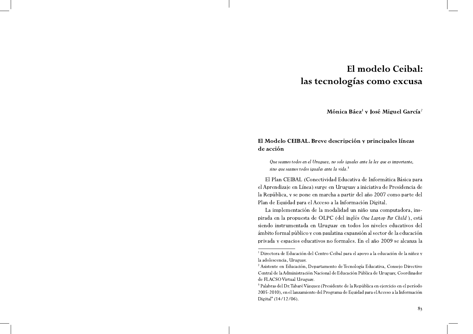# El modelo Ceibal: las tecnologías como excusa

Mónica Báez<sup>1</sup> y José Miguel García<sup>2</sup>

# El Modelo CEIBAL. Breve descripción y principales líneas de acción

Que seamos todos en el Uruguay, no solo iguales ante la ley que es importante, sino que seamos todos iguales ante la vida.<sup>3</sup>

El Plan CEIBAL (Conectividad Educativa de Informática Básica para el Aprendizaje en Línea) surge en Uruguay a iniciativa de Presidencia de la República, y se pone en marcha a partir del año 2007 como parte del Plan de Equidad para el Acceso a la Información Digital.

La implementación de la modalidad un niño una computadora, inspirada en la propuesta de OLPC (del inglés One Laptop Per Child), está siendo instrumentada en Uruguay en todos los niveles educativos del ámbito formal público y con paulatina expansión al sector de la educación privada y espacios educativos no formales. En el año 2009 se alcanza la

<sup>&</sup>lt;sup>1</sup> Directora de Educación del Centro Ceibal para el apoyo a la educación de la niñez y la adolescencia, Uruguay.

<sup>&</sup>lt;sup>2</sup> Asistente en Educación, Departamento de Tecnología Educativa, Consejo Directivo Central de la Administración Nacional de Educación Pública de Uruguay, Coordinador de FLACSO Virtual Uruguay.

<sup>&</sup>lt;sup>3</sup> Palabras del Dr. Tabaré Vázquez (Presidente de la República en ejercicio en el período 2005-2010), en el lanzamiento del Programa de Equidad para el Acceso a la Información Digital" (14/12/06).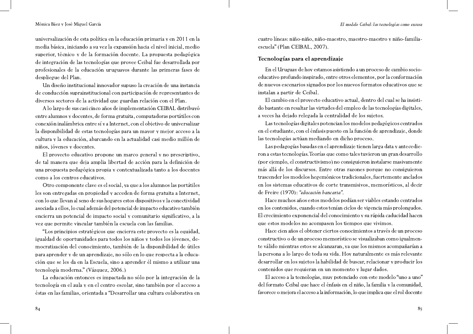universalización de esta política en la educación primaria y en 2011 en la media básica, iniciando a su vez la expansión hacia el nivel inicial, medio superior, técnico y de la formación docente. La propuesta pedagógica de integración de las tecnologías que provee Ceibal fue desarrollada por profesionales de la educación uruguayos durante las primeras fases de despliegue del Plan.

Un diseño institucional innovador supuso la creación de una instancia de conducción suprainstitucional con participación de representantes de diversos sectores de la actividad que guardan relación con el Plan.

A lo largo de sus casi cinco años de implementación CEIBAL distribuyó entre alumnos y docentes, de forma gratuita, computadoras portátiles con conexión inalámbrica entre sí y a Internet, con el objetivo de universalizar la disponibilidad de estas tecnologías para un mayor y mejor acceso a la cultura y la educación, abarcando en la actualidad casi medio millón de niños, jóvenes y docentes.

El proyecto educativo propone un marco general y no prescriptivo, de tal manera que deja amplia libertad de acción para la definición de una propuesta pedagógica propia y contextualizada tanto a los docentes como a los centros educativos.

Otro componente clave es el social, ya que a los alumnos las portátiles les son entregadas en propiedad y acceden de forma gratuita a Internet, con lo que llevan al seno de sus hogares estos dispositivos y la conectividad asociada a ellos, lo cual además del potencial de impacto educativo también encierra un potencial de impacto social y comunitario significativo, a la vez que permite vincular también la escuela con las familias.

"Los principios estratégicos que encierra este proyecto es la equidad, igualdad de oportunidades para todos los niños y todos los jóvenes, democratización del conocimiento, también de la disponibilidad de útiles para aprender y de un aprendizaje, no sólo en lo que respecta a la educación que se les da en la Escuela, sino a aprender él mismo a utilizar una tecnología moderna." (Vázquez, 2006.)

La educación entonces es impactada no sólo por la integración de la tecnología en el aula y en el centro escolar, sino también por el acceso a éstas en las familias, orientada a "Desarrollar una cultura colaborativa en

cuatro líneas: niño-niño, niño-maestro, maestro-maestro y niño-familiaescuela" (Plan CEIBAL, 2007).

# Tecnologías para el aprendizaje

En el Uruguay de hoy estamos asistiendo a un proceso de cambio socioeducativo profundo inspirado, entre otros elementos, por la conformación de nuevos escenarios signados por los nuevos formatos educativos que se instalan a partir de Ceibal.

El cambio en el proyecto educativo actual, dentro del cual se ha insistido bastante en resaltar las virtudes del empleo de las tecnologías digitales, a veces ha dejado relegada la centralidad de los sujetos.

Las tecnologías digitales potencian los modelos pedagógicos centrados en el estudiante, con el énfasis puesto en la función de aprendizaje, donde las tecnologías actúan mediando en dicho proceso.

Las pedagogías basadas en el aprendizaje tienen larga data y antecedieron a estas tecnologías. Teorías que como tales tuvieron un gran desarrollo (por ejemplo, el constructivismo) no consiguieron instalarse masivamente más allá de los discursos. Entre otras razones porque no consiguieron trascender los modelos hegemónicos tradicionales, fuertemente anclados en los sistemas educativos de corte transmisivos, memorísticos, al decir de Freire (1970): "educación bancaria".

Hace muchos años estos modelos podían ser viables estando centrados en los contenidos, cuando estos tenían ciclos de vigencia más prolongados. El crecimiento exponencial del conocimiento y su rápida caducidad hacen que estos modelos no acompasen los tiempos que vivimos.

Hace cien años el obtener ciertos conocimientos a través de un proceso constructivo o de un proceso memorístico se visualizaban como igualmente válido mientras estos se alcanzaran, ya que los mismos acompañarían a la persona a lo largo de toda su vida. Hoy naturalmente es más relevante desarrollar en los sujetos la habilidad de buscar, relacionar y producir los contenidos que requieran en un momento y lugar dados.

El acceso a la tecnologías, muy potenciado con este modelo "uno a uno" del formato Ceibal que hace el énfasis en el niño, la familia y la comunidad, favorece o mejora el acceso a la información, lo que implica que el rol docente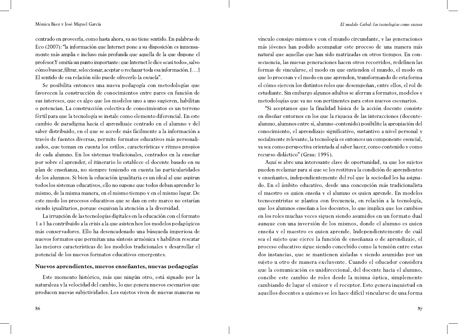centrado en proveerla, como hasta ahora, ya no tiene sentido. En palabras de Eco (2007): "la información que Internet pone a su disposición es inmensamente más amplia e incluso más profunda que aquella de la que dispone el profesor. Y omitía un punto importante: que Internet le dice «casi todo», salvo cómo buscar, filtrar, seleccionar, aceptar o rechazar toda esa información. [...] El sentido de esa relación sólo puede ofrecerlo la escuela".

Se posibilita entonces una nueva pedagogía con metodologías que favorecen la construcción de conocimientos entre pares en función de sus intereses, que es algo que los modelos uno a uno sugieren, habilitan o potencian. La construcción colectiva de conocimientos es un terreno fértil para que la tecnología se instale como elemento diferencial. En este cambio de paradigma hacia el aprendizaje centrado en el alumno y del saber distribuido, en el que se accede más fácilmente a la información a través de fuentes diversas, permite formatos educativos más personalizados, que toman en cuenta los estilos, características y ritmos propios de cada alumno. En los sistemas tradicionales, centrados en la enseñar por sobre el aprender, el itinerario lo establece el docente basado en su plan de enseñanza, no siempre teniendo en cuenta las particularidades de los alumnos. Si bien la educación igualitaria es un ideal al que aspiran todos los sistemas educativos, ello no supone que todos deban aprender lo mismo, de la misma manera, en el mismo tiempo y en el mismo lugar. De este modo los procesos educativos que se dan en este marco no estarían siendo igualitarios, porque esquivan la atención a la diversidad.

La irrupción de las tecnologías digitales en la educación con el formato 1 a 1 ha contribuido a la crisis a la que asisten hoy los modelos pedagógicos más conservadores. Ello ha desencadenado una búsqueda imperiosa de nuevos formatos que permitan una síntesis armónica y habiliten rescatar las mejores características de los modelos tradicionales y desarrollar el potencial de los nuevos formatos educativos emergentes.

### Nuevos aprendientes, nuevos enseñantes, nuevas pedagogías

Este momento histórico, más que ningún otro, está signado por la naturaleza y la velocidad del cambio, lo que genera nuevos escenarios que producen nuevas subjetividades. Los sujetos viven de nuevas maneras su

vínculo consigo mismos y con el mundo circundante, y las generaciones más jóvenes han podido acompañar este proceso de una manera más natural que aquellas que han sido matrizadas en otros tiempos. En consecuencia, las nuevas generaciones hacen otros recorridos, redefinen las formas de vincularse, el modo en que entienden el mundo, el modo en que lo procesan y el modo en que aprenden, transformando de esta forma el cómo ejercen los distintos roles que desempeñan, entre ellos, el rol de estudiante. Sin embargo algunos adultos se aferran a formatos, modelos y metodologías que ya no son pertinentes para estos nuevos escenarios.

"Si aceptamos que la finalidad básica de la acción docente consiste en diseñar entornos en los que la riqueza de las interacciones (docentealumno, alumnos entre sí, alumno-contenido) posibilite la apropiación del conocimiento, el aprendizaje significativo, sustantivo a nivel personal y socialmente relevante, la tecnología es entonces un componente esencial, ya sea como perspectiva orientada al saber hacer, como contenido y como recurso didáctico" (Grau: 1995).

Aquí se abre una interesante clave de oportunidad, ya que los sujetos pueden reclamar para sí que se les restituya la condición de aprendientes y enseñantes, independientemente del rol que la sociedad les ha asignado. En el ámbito educativo, desde una concepción más tradicionalista el maestro es quien enseña y el alumno es quien aprende. En modelos tecnocentristas se plantea con frecuencia, en relación a la tecnología, que los alumnos enseñan a los docentes, lo que implica que los cambios en los roles muchas veces siguen siendo asumidos en un formato dual aunque con una inversión de los mismos, donde el alumno es quien enseña y el maestro es quien aprende. Independientemente de cuál sea el sujeto que ejerce la función de enseñanza o de aprendizaje, el proceso educativo sigue siendo concebido como la tensión entre estas dos instancias, que se mantienen aisladas y siendo asumidas por un sujeto u otro de manera excluyente. Cuando el educador considera que la comunicación es unidireccional, del docente hacia el alumno, concibe este cambio de roles desde la misma óptica, simplemente cambiando de lugar el emisor y el receptor. Esto genera inquietud en aquellos docentes a quienes se les hace difícil vincularse de una forma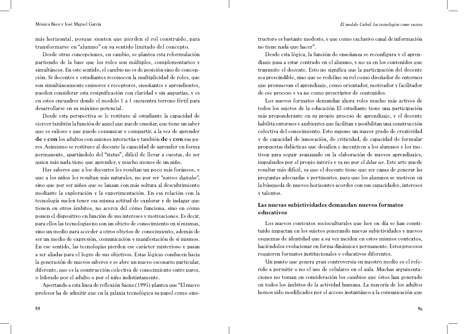más horizontal, porque sienten que pierden el rol construido, para transformarse en "alumno" en su sentido limitado del concepto.

Desde otras concepciones, en cambio, se plantea esta reformulación partiendo de la base que los roles son múltiples, complementarios y simultáneos. En este sentido, el cambio no es de posición sino de concepción. Si docentes y estudiantes reconocen la multiplicidad de roles, que son simultáneamente emisores y receptores, enseñantes y aprendientes, pueden considerar esta resignificación con claridad y sin angustias, y es en estos encuadres donde el modelo 1 a 1 encuentra terreno fértil para desarrollarse en su máximo potencial.

Desde esta perspectiva se le restituye al estudiante la capacidad de ejercer también la función de aquel que puede enseñar, que tiene un saber que es valioso y que puede comunicar y compartir, a la vez de aprender de y con los adultos con quienes interactúa y también de y con sus pares. Asimismo se restituye al docente la capacidad de aprender en forma permanente, apartándolo del "status", difícil de llevar a cuestas, de ser quien más nada tiene que aprender, y mucho menos de un niño.

Hay saberes que a los docentes les resultan un poco más foráneos, y que a los niños les resultan más naturales, no por ser "nativos digitales", sino que por ser niños que se lanzan con más soltura al descubrimiento mediante la exploración y la experimentación. En esa relación con la tecnología suelen tener esa misma actitud de explorar y de indagar que tienen en otros ámbitos, no acerca del cómo funciona, sino en cómo ponen el dispositivo en función de sus intereses y motivaciones. Es decir, para ellos las tecnologías no son un objeto de conocimiento en sí mismas, sino un medio para acceder a otros objetos de conocimiento, además de ser un medio de expresión, comunicación y manifestación de sí mismos. En ese sentido, las tecnologías pierden ese carácter misterioso y pasan a ser aliadas para el logro de sus objetivos. Estas lógicas conducen hacia la generación de nuevos saberes y se abre un nuevo escenario particular, diferente, que es la construcción colectiva de conocimiento entre pares, o liderado por el adulto o por el niño indistintamente.

Aportando a esta línea de reflexión Saenz (1995) plantea que "El nuevo profesor ha de admitir que en la galaxia tecnológica su papel como «instructor» es bastante modesto, y que como exclusivo canal de información no tiene nada que hacer".

Desde esta lógica, la función de enseñanza se reconfigura y el aprendizaje pasa a estar centrado en el alumno, y no ya en los contenidos que transmite el docente. Esto no significa que la participación del docente sea prescindible, sino que se redefine su rol como diseñador de entornos que promuevan el aprendizaje, como orientador, motivador y facilitador de ese proceso y ya no como prescriptor de contenidos.

Los nuevos formatos demandan ahora roles mucho más activos de todos los sujetos de la educación El estudiante tiene una participación más preponderante en su propio proceso de aprendizaje, y el docente habilita entornos y ambientes que facilitan y posibilitan una construcción colectiva del conocimiento. Esto supone un mayor grado de creatividad y de capacidad de innovación, de criticidad, de capacidad de formular propuestas didácticas que desafíen e incentiven a los alumnos y los motiven para seguir avanzando en la elaboración de nuevos aprendizajes, impulsados por el propio interés y ya no por el deber ser. Este arte puede resultar más difícil, ya que el docente tiene que ser capaz de generar las preguntas adecuadas y pertinentes, para que los alumnos se motiven en la búsqueda de nuevos horizontes acordes con sus capacidades, intereses y talentos.

# Las nuevas subjetividades demandan nuevos formatos educativos

Los nuevos contextos socioculturales que hoy en día se han constituido impactan en los sujetos generando nuevas subjetividades y nuevos esquemas de identidad que a su vez inciden en estos mismos contextos, haciéndolos evolucionar en forma dinámica y permanente. Estos procesos requieren formatos institucionales y educativos diferentes.

Un punto que genera gran controversia en nuestro medio es el referido a permitir o no el uso de celulares en el aula. Muchas argumentaciones no toman en consideración los cambios que éstos han generado en todos los ámbitos de la actividad humana. La mayoría de los adultos hemos sido modificados por el acceso instantáneo a la comunicación que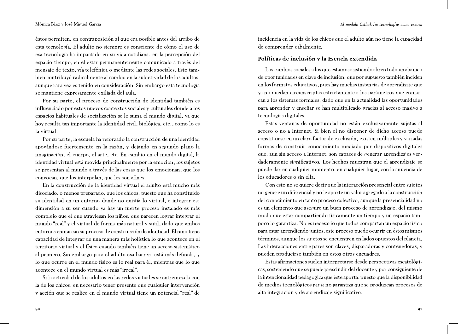éstos permiten, en contraposición al que era posible antes del arribo de esta tecnología. El adulto no siempre es consciente de cómo el uso de esa tecnología ha impactado en su vida cotidiana, en la percepción del espacio-tiempo, en el estar permanentemente comunicado a través del mensaje de texto, vía telefónica o mediante las redes sociales. Esto también contribuyó radicalmente al cambio en la subjetividad de los adultos, aunque rara vez es tenido en consideración. Sin embargo esta tecnología se mantiene expresamente exiliada del aula.

Por su parte, el proceso de construcción de identidad también es influenciado por estos nuevos contextos sociales y culturales donde a los espacios habituales de socialización se le suma el mundo digital, ya que hoy resulta tan importante la identidad civil, biológica, etc., como lo es la virtual.

Por su parte, la escuela ha reforzado la construcción de una identidad apoyándose fuertemente en la razón, y dejando en segundo plano la imaginación, el cuerpo, el arte, etc. En cambio en el mundo digital, la identidad virtual está movida principalmente por la emoción, los sujetos se presentan al mundo a través de las cosas que los emocionan, que los convocan, que los interpelan, que les son afines.

En la construcción de la identidad virtual el adulto está mucho más disociado, o menos preparado, que los chicos, puesto que ha constituido su identidad en un entorno donde no existía lo virtual, e integrar esa dimensión a su ser cuando ya hay un fuerte proceso instalado es más complejo que el que atraviesan los niños, que parecen lograr integrar el mundo "real" y el virtual de forma más natural y sutil, dado que ambos entornos enmarcan su proceso de construcción de identidad. El niño tiene capacidad de integrar de una manera más holística lo que acontece en el territorio virtual y el físico cuando también tiene un acceso sistemático al primero. Sin embargo para el adulto esa barrera está más definida, y lo que ocurre en el mundo físico es lo real para él, mientras que lo que acontece en el mundo virtual es más "irreal".

Si la actividad de los adultos en las redes virtuales se entremezcla con la de los chicos, en necesario tener presente que cualquier intervención y acción que se realice en el mundo virtual tiene un potencial "real" de incidencia en la vida de los chicos que el adulto aún no tiene la capacidad de comprender cabalmente.

### Políticas de inclusión y la Escuela extendida

Los cambios sociales a los que estamos asistiendo abren todo un abanico de oportunidades en clave de inclusión, que por supuesto también inciden en los formatos educativos, pues hay muchas instancias de aprendizaje que ya no quedan circunscriptas estrictamente a los parámetros que enmarcan a los sistemas formales, dado que en la actualidad las oportunidades para aprender y enseñar se han multiplicado gracias al acceso masivo a tecnologías digitales.

Estas ventanas de oportunidad no están exclusivamente sujetas al acceso o no a Internet. Si bien el no disponer de dicho acceso puede constituirse en un claro factor de exclusión, existen múltiples y variadas formas de construir conocimiento mediado por dispositivos digitales que, aun sin acceso a Internet, son capaces de generar aprendizajes verdaderamente significativos. Los hechos muestran que el aprendizaje se puede dar en cualquier momento, en cualquier lugar, con la anuencia de los educadores o sin ella.

Con esto no se quiere decir que la interacción presencial entre sujetos no genere un diferencial y no le aporte un valor agregado a la construcción del conocimiento en tanto proceso colectivo, aunque la presencialidad no es un elemento que asegure un buen proceso de aprendizaje, del mismo modo que estar compartiendo físicamente un tiempo y un espacio tampoco lo garantiza. No es necesario que todos compartan un espacio físico para estar aprendiendo juntos, este proceso puede ocurrir en éstos mismos términos, aunque los sujetos se encuentren en lados opuestos del planeta. Las interacciones entre pares son claves, disparadoras y contenedoras, y pueden producirse también en estos otros encuadres.

Estas afirmaciones suelen interpretarse desde perspectivas escatológicas, sosteniendo que se puede prescindir del docente y por consiguiente de la intencionalidad pedagógica que éste aporta, puesto que la disponibilidad de medios tecnológicos per se no garantiza que se produzcan procesos de alta integración y de aprendizaje significativo.